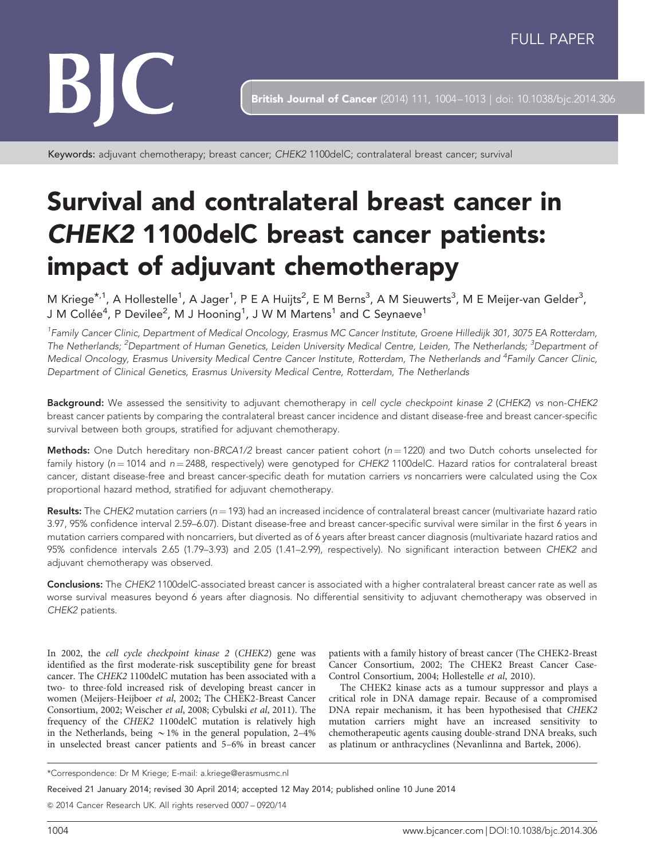# BIC

**British Journal of Cancer** (2014) 111, 1004-1013 | doi: 10.1038/bjc.2014.306

Keywords: adjuvant chemotherapy; breast cancer; CHEK2 1100delC; contralateral breast cancer; survival

# Survival and contralateral breast cancer in CHEK2 1100delC breast cancer patients: impact of adjuvant chemotherapy

M Kriege<sup>\*,1</sup>, A Hollestelle<sup>1</sup>, A Jager<sup>1</sup>, P E A Huijts<sup>2</sup>, E M Berns<sup>3</sup>, A M Sieuwerts<sup>3</sup>, M E Meijer-van Gelder<sup>3</sup>, J M Collée $^4$ , P Devilee $^2$ , M J Hooning $^1$ , J W M Martens $^1$  and C Seynaeve $^1$ 

<sup>1</sup>Family Cancer Clinic, Department of Medical Oncology, Erasmus MC Cancer Institute, Groene Hilledijk 301, 3075 EA Rotterdam, The Netherlands; <sup>2</sup>Department of Human Genetics, Leiden University Medical Centre, Leiden, The Netherlands; <sup>3</sup>Department oi Medical Oncology, Erasmus University Medical Centre Cancer Institute, Rotterdam, The Netherlands and <sup>4</sup>Family Cancer Clinic, Department of Clinical Genetics, Erasmus University Medical Centre, Rotterdam, The Netherlands

Background: We assessed the sensitivity to adjuvant chemotherapy in cell cycle checkpoint kinase 2 (CHEK2) vs non-CHEK2 breast cancer patients by comparing the contralateral breast cancer incidence and distant disease-free and breast cancer-specific survival between both groups, stratified for adjuvant chemotherapy.

Methods: One Dutch hereditary non-BRCA1/2 breast cancer patient cohort ( $n = 1220$ ) and two Dutch cohorts unselected for family history ( $n = 1014$  and  $n = 2488$ , respectively) were genotyped for CHEK2 1100delC. Hazard ratios for contralateral breast cancer, distant disease-free and breast cancer-specific death for mutation carriers vs noncarriers were calculated using the Cox proportional hazard method, stratified for adjuvant chemotherapy.

Results: The CHEK2 mutation carriers ( $n = 193$ ) had an increased incidence of contralateral breast cancer (multivariate hazard ratio 3.97, 95% confidence interval 2.59–6.07). Distant disease-free and breast cancer-specific survival were similar in the first 6 years in mutation carriers compared with noncarriers, but diverted as of 6 years after breast cancer diagnosis (multivariate hazard ratios and 95% confidence intervals 2.65 (1.79–3.93) and 2.05 (1.41–2.99), respectively). No significant interaction between CHEK2 and adjuvant chemotherapy was observed.

Conclusions: The CHEK2 1100delC-associated breast cancer is associated with a higher contralateral breast cancer rate as well as worse survival measures beyond 6 years after diagnosis. No differential sensitivity to adjuvant chemotherapy was observed in CHEK2 patients.

In 2002, the cell cycle checkpoint kinase 2 (CHEK2) gene was identified as the first moderate-risk susceptibility gene for breast cancer. The CHEK2 1100delC mutation has been associated with a two- to three-fold increased risk of developing breast cancer in women [\(Meijers-Heijboer](#page-9-0) et al, 2002; [The CHEK2-Breast Cancer](#page-9-0) [Consortium, 2002; Weischer](#page-9-0) et al, 2008; [Cybulski](#page-9-0) et al, 2011). The frequency of the CHEK2 1100delC mutation is relatively high in the Netherlands, being  $\sim$  1% in the general population, 2–4% in unselected breast cancer patients and 5–6% in breast cancer

patients with a family history of breast cancer ([The CHEK2-Breast](#page-9-0) [Cancer Consortium, 2002](#page-9-0); [The CHEK2 Breast Cancer Case-](#page-9-0)[Control Consortium, 2004](#page-9-0); [Hollestelle](#page-9-0) et al, 2010).

The CHEK2 kinase acts as a tumour suppressor and plays a critical role in DNA damage repair. Because of a compromised DNA repair mechanism, it has been hypothesised that CHEK2 mutation carriers might have an increased sensitivity to chemotherapeutic agents causing double-strand DNA breaks, such as platinum or anthracyclines ([Nevanlinna and Bartek, 2006](#page-9-0)).

Received 21 January 2014; revised 30 April 2014; accepted 12 May 2014; published online 10 June 2014

& 2014 Cancer Research UK. All rights reserved 0007 – 0920/14

<sup>\*</sup>Correspondence: Dr M Kriege; E-mail: [a.kriege@erasmusmc.nl](mailto:a.kriege@erasmusmc.nl)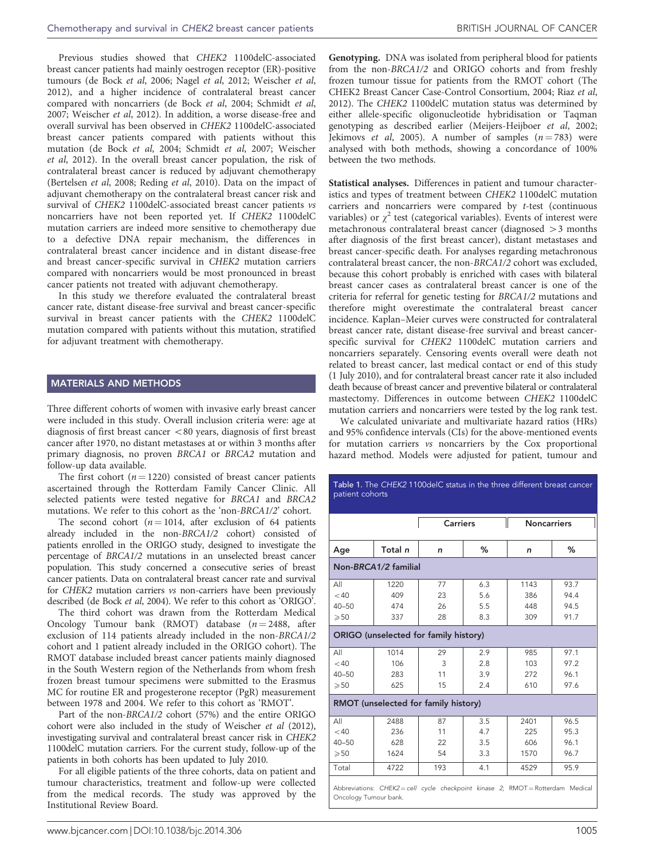<span id="page-1-0"></span>Previous studies showed that CHEK2 1100delC-associated breast cancer patients had mainly oestrogen receptor (ER)-positive tumours ([de Bock](#page-9-0) et al, 2006; Nagel et al[, 2012](#page-9-0); [Weischer](#page-9-0) et al, [2012](#page-9-0)), and a higher incidence of contralateral breast cancer compared with noncarriers ([de Bock](#page-9-0) et al, 2004; [Schmidt](#page-9-0) et al, [2007](#page-9-0); [Weischer](#page-9-0) et al, 2012). In addition, a worse disease-free and overall survival has been observed in CHEK2 1100delC-associated breast cancer patients compared with patients without this mutation ([de Bock](#page-9-0) et al, 2004; [Schmidt](#page-9-0) et al, 2007; [Weischer](#page-9-0) et al[, 2012\)](#page-9-0). In the overall breast cancer population, the risk of contralateral breast cancer is reduced by adjuvant chemotherapy ([Bertelsen](#page-8-0) et al, 2008; [Reding](#page-9-0) et al, 2010). Data on the impact of adjuvant chemotherapy on the contralateral breast cancer risk and survival of CHEK2 1100delC-associated breast cancer patients vs noncarriers have not been reported yet. If CHEK2 1100delC mutation carriers are indeed more sensitive to chemotherapy due to a defective DNA repair mechanism, the differences in contralateral breast cancer incidence and in distant disease-free and breast cancer-specific survival in CHEK2 mutation carriers compared with noncarriers would be most pronounced in breast cancer patients not treated with adjuvant chemotherapy.

In this study we therefore evaluated the contralateral breast cancer rate, distant disease-free survival and breast cancer-specific survival in breast cancer patients with the CHEK2 1100delC mutation compared with patients without this mutation, stratified for adjuvant treatment with chemotherapy.

## MATERIALS AND METHODS

Three different cohorts of women with invasive early breast cancer were included in this study. Overall inclusion criteria were: age at diagnosis of first breast cancer  $< 80$  years, diagnosis of first breast cancer after 1970, no distant metastases at or within 3 months after primary diagnosis, no proven BRCA1 or BRCA2 mutation and follow-up data available.

The first cohort ( $n = 1220$ ) consisted of breast cancer patients ascertained through the Rotterdam Family Cancer Clinic. All selected patients were tested negative for BRCA1 and BRCA2 mutations. We refer to this cohort as the 'non-BRCA1/2' cohort.

The second cohort ( $n = 1014$ , after exclusion of 64 patients already included in the non-BRCA1/2 cohort) consisted of patients enrolled in the ORIGO study, designed to investigate the percentage of BRCA1/2 mutations in an unselected breast cancer population. This study concerned a consecutive series of breast cancer patients. Data on contralateral breast cancer rate and survival for CHEK2 mutation carriers vs non-carriers have been previously described [\(de Bock](#page-9-0) et al, 2004). We refer to this cohort as 'ORIGO'.

The third cohort was drawn from the Rotterdam Medical Oncology Tumour bank (RMOT) database  $(n = 2488, \text{ after})$ exclusion of 114 patients already included in the non-BRCA1/2 cohort and 1 patient already included in the ORIGO cohort). The RMOT database included breast cancer patients mainly diagnosed in the South Western region of the Netherlands from whom fresh frozen breast tumour specimens were submitted to the Erasmus MC for routine ER and progesterone receptor (PgR) measurement between 1978 and 2004. We refer to this cohort as 'RMOT'.

Part of the non-BRCA1/2 cohort (57%) and the entire ORIGO cohort were also included in the study of [Weischer](#page-9-0) et al (2012), investigating survival and contralateral breast cancer risk in CHEK2 1100delC mutation carriers. For the current study, follow-up of the patients in both cohorts has been updated to July 2010.

For all eligible patients of the three cohorts, data on patient and tumour characteristics, treatment and follow-up were collected from the medical records. The study was approved by the Institutional Review Board.

Genotyping. DNA was isolated from peripheral blood for patients from the non-BRCA1/2 and ORIGO cohorts and from freshly frozen tumour tissue for patients from the RMOT cohort [\(The](#page-9-0) [CHEK2 Breast Cancer Case-Control Consortium, 2004;](#page-9-0) Riaz [et al](#page-9-0), [2012](#page-9-0)). The CHEK2 1100delC mutation status was determined by either allele-specific oligonucleotide hybridisation or Taqman genotyping as described earlier ([Meijers-Heijboer](#page-9-0) et al, 2002; [Jekimovs](#page-9-0) *et al*, 2005). A number of samples  $(n = 783)$  were analysed with both methods, showing a concordance of 100% between the two methods.

Statistical analyses. Differences in patient and tumour characteristics and types of treatment between CHEK2 1100delC mutation carriers and noncarriers were compared by t-test (continuous variables) or  $\chi^2$  test (categorical variables). Events of interest were metachronous contralateral breast cancer (diagnosed  $>$ 3 months after diagnosis of the first breast cancer), distant metastases and breast cancer-specific death. For analyses regarding metachronous contralateral breast cancer, the non-BRCA1/2 cohort was excluded, because this cohort probably is enriched with cases with bilateral breast cancer cases as contralateral breast cancer is one of the criteria for referral for genetic testing for BRCA1/2 mutations and therefore might overestimate the contralateral breast cancer incidence. Kaplan–Meier curves were constructed for contralateral breast cancer rate, distant disease-free survival and breast cancerspecific survival for CHEK2 1100delC mutation carriers and noncarriers separately. Censoring events overall were death not related to breast cancer, last medical contact or end of this study (1 July 2010), and for contralateral breast cancer rate it also included death because of breast cancer and preventive bilateral or contralateral mastectomy. Differences in outcome between CHEK2 1100delC mutation carriers and noncarriers were tested by the log rank test.

We calculated univariate and multivariate hazard ratios (HRs) and 95% confidence intervals (CIs) for the above-mentioned events for mutation carriers vs noncarriers by the Cox proportional hazard method. Models were adjusted for patient, tumour and

|                                       |                      | <b>Carriers</b> |     | <b>Noncarriers</b> |      |
|---------------------------------------|----------------------|-----------------|-----|--------------------|------|
| Age                                   | Total n              | n               | ℅   | n                  | ℅    |
|                                       | Non-BRCA1/2 familial |                 |     |                    |      |
| All                                   | 1220                 | 77              | 6.3 | 1143               | 93.7 |
| $<$ 40                                | 409                  | 23              | 5.6 | 386                | 94.4 |
| $40 - 50$                             | 474                  | 26              | 5.5 | 448                | 94.5 |
| $\geqslant 50$                        | 337                  | 28              | 8.3 | 309                | 91.7 |
| ORIGO (unselected for family history) |                      |                 |     |                    |      |
| All                                   | 1014                 | 29              | 2.9 | 985                | 97.1 |
| $<$ 40                                | 106                  | 3               | 2.8 | 103                | 97.2 |
| $40 - 50$                             | 283                  | 11              | 3.9 | 272                | 96.1 |
| $\geqslant 50$                        | 625                  | 15              | 2.4 | 610                | 97.6 |
| RMOT (unselected for family history)  |                      |                 |     |                    |      |
| All                                   | 2488                 | 87              | 3.5 | 2401               | 96.5 |
| $<$ 40                                | 236                  | 11              | 4.7 | 225                | 95.3 |
| $40 - 50$                             | 628                  | 22              | 3.5 | 606                | 96.1 |
| $\geqslant 50$                        | 1624                 | 54              | 3.3 | 1570               | 96.7 |
| Total                                 | 4722                 | 193             | 4.1 | 4529               | 95.9 |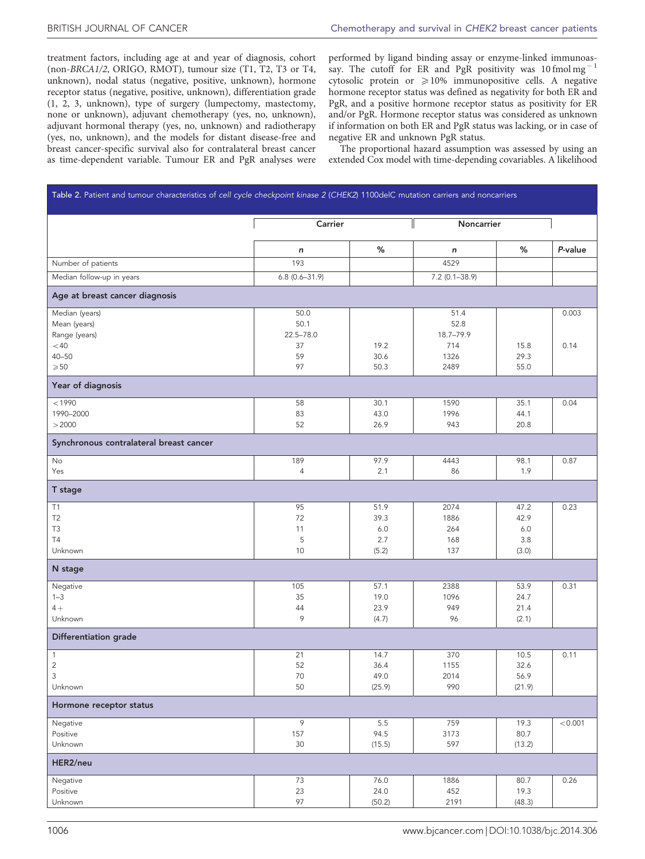<span id="page-2-0"></span>treatment factors, including age at and year of diagnosis, cohort (non-BRCA1/2, ORIGO, RMOT), tumour size (T1, T2, T3 or T4, unknown), nodal status (negative, positive, unknown), hormone receptor status (negative, positive, unknown), differentiation grade (1, 2, 3, unknown), type of surgery (lumpectomy, mastectomy, none or unknown), adjuvant chemotherapy (yes, no, unknown), adjuvant hormonal therapy (yes, no, unknown) and radiotherapy (yes, no, unknown), and the models for distant disease-free and breast cancer-specific survival also for contralateral breast cancer as time-dependent variable. Tumour ER and PgR analyses were

performed by ligand binding assay or enzyme-linked immunoassay. The cutoff for ER and PgR positivity was  $10 \text{ fmol mg}^{-1}$ cytosolic protein or  $\geq 10\%$  immunopositive cells. A negative hormone receptor status was defined as negativity for both ER and PgR, and a positive hormone receptor status as positivity for ER and/or PgR. Hormone receptor status was considered as unknown if information on both ER and PgR status was lacking, or in case of negative ER and unknown PgR status.

The proportional hazard assumption was assessed by using an extended Cox model with time-depending covariables. A likelihood

| Table 2. Patient and tumour characteristics of cell cycle checkpoint kinase 2 (CHEK2) 1100delC mutation carriers and noncarriers |                   |              |                    |              |         |  |
|----------------------------------------------------------------------------------------------------------------------------------|-------------------|--------------|--------------------|--------------|---------|--|
|                                                                                                                                  | Carrier           |              | Noncarrier         |              |         |  |
|                                                                                                                                  | n                 | $\%$         | $\boldsymbol{n}$   | %            | P-value |  |
| Number of patients                                                                                                               | 193               |              | 4529               |              |         |  |
| Median follow-up in years                                                                                                        | $6.8(0.6 - 31.9)$ |              | $7.2 (0.1 - 38.9)$ |              |         |  |
| Age at breast cancer diagnosis                                                                                                   |                   |              |                    |              |         |  |
| Median (years)                                                                                                                   | 50.0              |              | 51.4               |              | 0.003   |  |
| Mean (years)                                                                                                                     | 50.1              |              | 52.8               |              |         |  |
| Range (years)                                                                                                                    | $22.5 - 78.0$     |              | 18.7-79.9          |              |         |  |
| $<$ 40                                                                                                                           | 37                | 19.2         | 714                | 15.8         | 0.14    |  |
| $40 - 50$<br>$\geqslant 50$                                                                                                      | 59<br>97          | 30.6<br>50.3 | 1326<br>2489       | 29.3<br>55.0 |         |  |
|                                                                                                                                  |                   |              |                    |              |         |  |
| Year of diagnosis                                                                                                                |                   |              |                    |              |         |  |
| < 1990                                                                                                                           | 58                | 30.1         | 1590               | 35.1         | 0.04    |  |
| 1990-2000                                                                                                                        | 83                | 43.0         | 1996               | 44.1         |         |  |
| >2000                                                                                                                            | 52                | 26.9         | 943                | 20.8         |         |  |
| Synchronous contralateral breast cancer                                                                                          |                   |              |                    |              |         |  |
| No                                                                                                                               | 189               | 97.9         | 4443               | 98.1         | 0.87    |  |
| Yes                                                                                                                              | $\sqrt{4}$        | 2.1          | 86                 | 1.9          |         |  |
| T stage                                                                                                                          |                   |              |                    |              |         |  |
| T1                                                                                                                               | 95                | 51.9         | 2074               | 47.2         | 0.23    |  |
| T <sub>2</sub>                                                                                                                   | 72                | 39.3         | 1886               | 42.9         |         |  |
| T <sub>3</sub>                                                                                                                   | 11                | 6.0          | 264                | 6.0          |         |  |
| <b>T4</b>                                                                                                                        | 5                 | 2.7          | 168                | 3.8          |         |  |
| Unknown                                                                                                                          | 10                | (5.2)        | 137                | (3.0)        |         |  |
| N stage                                                                                                                          |                   |              |                    |              |         |  |
| Negative                                                                                                                         | 105               | 57.1         | 2388               | 53.9         | 0.31    |  |
| $1 - 3$                                                                                                                          | 35                | 19.0         | 1096               | 24.7         |         |  |
| $4+$                                                                                                                             | 44                | 23.9         | 949                | 21.4         |         |  |
| Unknown                                                                                                                          | 9                 | (4.7)        | 96                 | (2.1)        |         |  |
| Differentiation grade                                                                                                            |                   |              |                    |              |         |  |
| $\mathbf{1}$                                                                                                                     | 21                | 14.7         | 370                | 10.5         | 0.11    |  |
| $\overline{c}$                                                                                                                   | 52                | 36.4         | 1155               | 32.6         |         |  |
| 3                                                                                                                                | $70\,$            | 49.0         | 2014               | 56.9         |         |  |
| Unknown                                                                                                                          | 50                | (25.9)       | 990                | (21.9)       |         |  |
| Hormone receptor status                                                                                                          |                   |              |                    |              |         |  |
| Negative                                                                                                                         | 9                 | $5.5\,$      | 759                | 19.3         | < 0.001 |  |
| Positive                                                                                                                         | 157               | 94.5         | 3173               | 80.7         |         |  |
| Unknown                                                                                                                          | $30\,$            | (15.5)       | 597                | (13.2)       |         |  |
| HER2/neu                                                                                                                         |                   |              |                    |              |         |  |
| Negative                                                                                                                         | 73                | 76.0         | 1886               | 80.7         | 0.26    |  |
| Positive                                                                                                                         | 23                | 24.0         | 452                | 19.3         |         |  |
| Unknown                                                                                                                          | 97                | (50.2)       | 2191               | (48.3)       |         |  |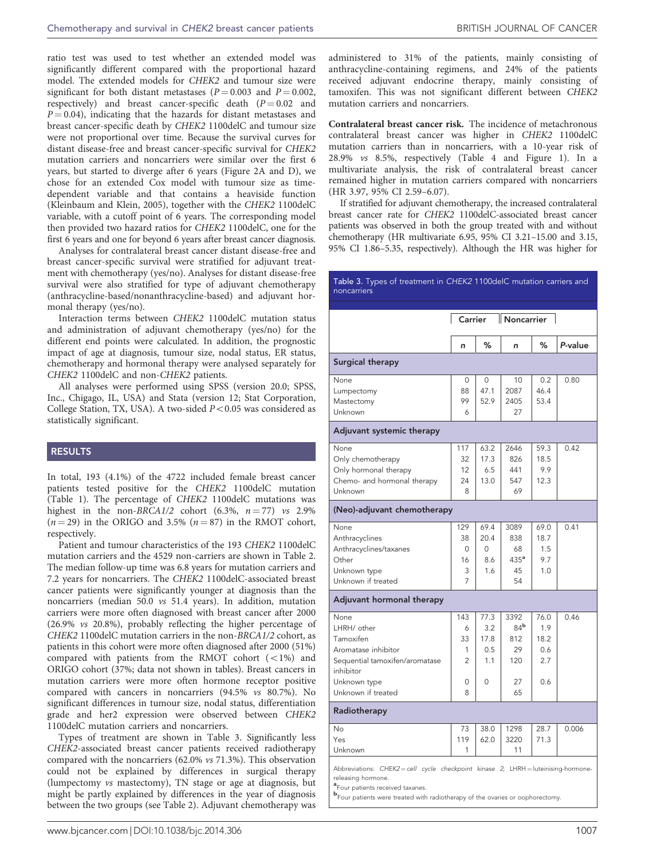ratio test was used to test whether an extended model was significantly different compared with the proportional hazard model. The extended models for CHEK2 and tumour size were significant for both distant metastases ( $P = 0.003$  and  $P = 0.002$ , respectively) and breast cancer-specific death  $(P = 0.02$  and  $P = 0.04$ ), indicating that the hazards for distant metastases and breast cancer-specific death by CHEK2 1100delC and tumour size were not proportional over time. Because the survival curves for distant disease-free and breast cancer-specific survival for CHEK2 mutation carriers and noncarriers were similar over the first 6 years, but started to diverge after 6 years [\(Figure 2A and D\)](#page-7-0), we chose for an extended Cox model with tumour size as timedependent variable and that contains a heaviside function ([Kleinbaum and Klein, 2005](#page-9-0)), together with the CHEK2 1100delC variable, with a cutoff point of 6 years. The corresponding model then provided two hazard ratios for CHEK2 1100delC, one for the first 6 years and one for beyond 6 years after breast cancer diagnosis.

Analyses for contralateral breast cancer distant disease-free and breast cancer-specific survival were stratified for adjuvant treatment with chemotherapy (yes/no). Analyses for distant disease-free survival were also stratified for type of adjuvant chemotherapy (anthracycline-based/nonanthracycline-based) and adjuvant hormonal therapy (yes/no).

Interaction terms between CHEK2 1100delC mutation status and administration of adjuvant chemotherapy (yes/no) for the different end points were calculated. In addition, the prognostic impact of age at diagnosis, tumour size, nodal status, ER status, chemotherapy and hormonal therapy were analysed separately for CHEK2 1100delC and non-CHEK2 patients.

All analyses were performed using SPSS (version 20.0; SPSS, Inc., Chigago, IL, USA) and Stata (version 12; Stat Corporation, College Station, TX, USA). A two-sided  $P < 0.05$  was considered as statistically significant.

### RESULTS

In total, 193 (4.1%) of the 4722 included female breast cancer patients tested positive for the CHEK2 1100delC mutation ([Table 1\)](#page-1-0). The percentage of CHEK2 1100delC mutations was highest in the non-BRCA1/2 cohort  $(6.3\%, n = 77)$  vs 2.9%  $(n = 29)$  in the ORIGO and 3.5%  $(n = 87)$  in the RMOT cohort, respectively.

Patient and tumour characteristics of the 193 CHEK2 1100delC mutation carriers and the 4529 non-carriers are shown in [Table 2.](#page-2-0) The median follow-up time was 6.8 years for mutation carriers and 7.2 years for noncarriers. The CHEK2 1100delC-associated breast cancer patients were significantly younger at diagnosis than the noncarriers (median 50.0 vs 51.4 years). In addition, mutation carriers were more often diagnosed with breast cancer after 2000 (26.9% vs 20.8%), probably reflecting the higher percentage of CHEK2 1100delC mutation carriers in the non-BRCA1/2 cohort, as patients in this cohort were more often diagnosed after 2000 (51%) compared with patients from the RMOT cohort  $(<1%)$  and ORIGO cohort (37%; data not shown in tables). Breast cancers in mutation carriers were more often hormone receptor positive compared with cancers in noncarriers (94.5% vs 80.7%). No significant differences in tumour size, nodal status, differentiation grade and her2 expression were observed between CHEK2 1100delC mutation carriers and noncarriers.

Types of treatment are shown in Table 3. Significantly less CHEK2-associated breast cancer patients received radiotherapy compared with the noncarriers (62.0% vs 71.3%). This observation could not be explained by differences in surgical therapy (lumpectomy vs mastectomy), TN stage or age at diagnosis, but might be partly explained by differences in the year of diagnosis between the two groups (see [Table 2](#page-2-0)). Adjuvant chemotherapy was

administered to 31% of the patients, mainly consisting of anthracycline-containing regimens, and 24% of the patients received adjuvant endocrine therapy, mainly consisting of tamoxifen. This was not significant different between CHEK2 mutation carriers and noncarriers.

Contralateral breast cancer risk. The incidence of metachronous contralateral breast cancer was higher in CHEK2 1100delC mutation carriers than in noncarriers, with a 10-year risk of 28.9% vs 8.5%, respectively [\(Table 4](#page-4-0) and [Figure 1\)](#page-5-0). In a multivariate analysis, the risk of contralateral breast cancer remained higher in mutation carriers compared with noncarriers (HR 3.97, 95% CI 2.59–6.07).

If stratified for adjuvant chemotherapy, the increased contralateral breast cancer rate for CHEK2 1100delC-associated breast cancer patients was observed in both the group treated with and without chemotherapy (HR multivariate 6.95, 95% CI 3.21–15.00 and 3.15, 95% CI 1.86–5.35, respectively). Although the HR was higher for

# Table 3. Types of treatment in CHEK2 1100delC mutation carriers and noncarriers Carrier Noncarrier n % n % P-value Surgical therapy None 0 0 0 10 0.2 0.80 Lumpectomy 88 47.1 2087 46.4 Mastectomy 99 52.9 2405 53.4 Unknown  $\begin{array}{|c|c|c|c|c|c|c|c|c|} \hline \multicolumn{1}{c|}{\text{Unkm}} & \multicolumn{1}{c|}{\text{Unkm}} \end{array}$ Adjuvant systemic therapy None 117 63.2 2646 59.3 0.42 Only chemotherapy 32 | 17.3 | 826 | 18.5 Only hormonal therapy 12 6.5 441 9.9 Chemo- and hormonal therapy  $\begin{vmatrix} 24 & 13.0 & 547 \\ 1 \end{vmatrix}$  12.3 Unknown 8 69 (Neo)-adjuvant chemotherapy None 129 69.4 3089 69.0 0.41 Anthracyclines 38 20.4 838 18.7 Anthracyclines/taxanes 0 0 68 1.5<br>Other 16 8.6 435<sup>a</sup> 9.7 Other 16 8.6 435<sup>a</sup> 9.7 Unknown type 3 1.6 45 1.0 Unknown if treated  $\begin{vmatrix} 7 & 1 & 54 \end{vmatrix}$ Adjuvant hormonal therapy None 143 77.3 3392 76.0 0.46 LHRH/ other  $\begin{array}{|c|c|c|c|c|c|c|c|c|} \hline \multicolumn{1}{|c|}{6} & 3.2 & 84^{\mathsf{b}} & 1.9 \\ \hline \end{array}$ Tamoxifen 18.2 Aromatase inhibitor  $\begin{array}{|c|c|c|c|c|c|} \hline 1 & 0.5 & 29 & 0.6 \ \hline \end{array}$ Sequential tamoxifen/aromatase inhibitor 2 1.1 120 2.7 Unknown type 0 0 0 27 0.6 Unknown if treated 8 8 65 Radiotherapy No 73 38.0 1298 28.7 0.006 Yes 119 62.0 3220 71.3 Unknown 1 11 Abbreviations: CHEK2 = cell cycle checkpoint kinase 2; LHRH = luteinising-hormonereleasing hormone. a Four patients received taxanes. b Four patients were treated with radiotherapy of the ovaries or oophorectomy.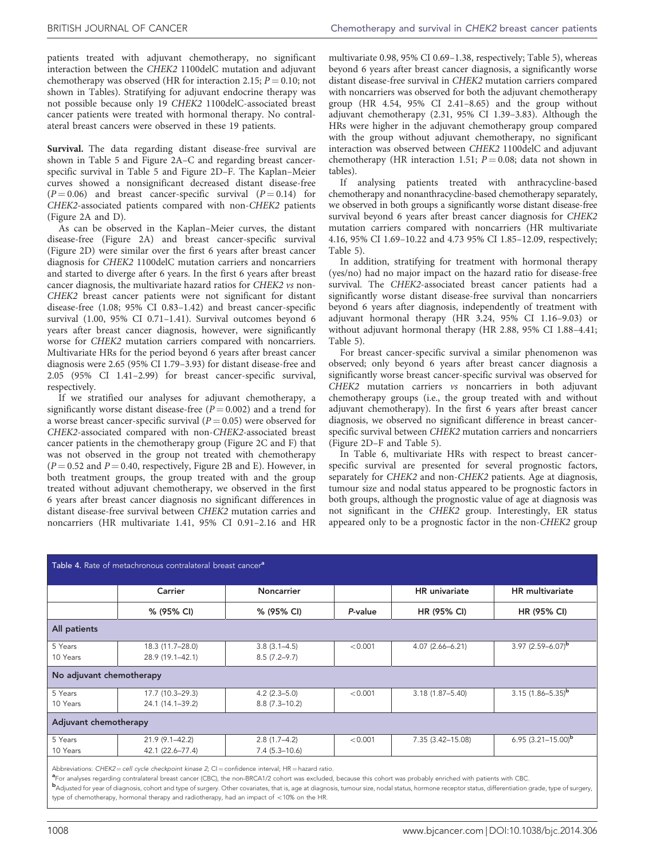<span id="page-4-0"></span>patients treated with adjuvant chemotherapy, no significant interaction between the CHEK2 1100delC mutation and adjuvant chemotherapy was observed (HR for interaction 2.15;  $P = 0.10$ ; not shown in Tables). Stratifying for adjuvant endocrine therapy was not possible because only 19 CHEK2 1100delC-associated breast cancer patients were treated with hormonal therapy. No contralateral breast cancers were observed in these 19 patients.

Survival. The data regarding distant disease-free survival are shown in [Table 5](#page-6-0) and [Figure 2A–C](#page-7-0) and regarding breast cancerspecific survival in [Table 5](#page-6-0) and [Figure 2D–F](#page-7-0). The Kaplan–Meier curves showed a nonsignificant decreased distant disease-free  $(P = 0.06)$  and breast cancer-specific survival  $(P = 0.14)$  for CHEK2-associated patients compared with non-CHEK2 patients ([Figure 2A and D](#page-7-0)).

As can be observed in the Kaplan–Meier curves, the distant disease-free [\(Figure 2A\)](#page-7-0) and breast cancer-specific survival ([Figure 2D\)](#page-7-0) were similar over the first 6 years after breast cancer diagnosis for CHEK2 1100delC mutation carriers and noncarriers and started to diverge after 6 years. In the first 6 years after breast cancer diagnosis, the multivariate hazard ratios for CHEK2 vs non-CHEK2 breast cancer patients were not significant for distant disease-free (1.08; 95% CI 0.83–1.42) and breast cancer-specific survival (1.00, 95% CI 0.71–1.41). Survival outcomes beyond 6 years after breast cancer diagnosis, however, were significantly worse for CHEK2 mutation carriers compared with noncarriers. Multivariate HRs for the period beyond 6 years after breast cancer diagnosis were 2.65 (95% CI 1.79–3.93) for distant disease-free and 2.05 (95% CI 1.41–2.99) for breast cancer-specific survival, respectively.

If we stratified our analyses for adjuvant chemotherapy, a significantly worse distant disease-free  $(P = 0.002)$  and a trend for a worse breast cancer-specific survival ( $P = 0.05$ ) were observed for CHEK2-associated compared with non-CHEK2-associated breast cancer patients in the chemotherapy group [\(Figure 2C and F](#page-7-0)) that was not observed in the group not treated with chemotherapy  $(P = 0.52$  and  $P = 0.40$ , respectively, [Figure 2B and E\)](#page-7-0). However, in both treatment groups, the group treated with and the group treated without adjuvant chemotherapy, we observed in the first 6 years after breast cancer diagnosis no significant differences in distant disease-free survival between CHEK2 mutation carries and noncarriers (HR multivariate 1.41, 95% CI 0.91–2.16 and HR

multivariate 0.98, 95% CI 0.69–1.38, respectively; [Table 5](#page-6-0)), whereas beyond 6 years after breast cancer diagnosis, a significantly worse distant disease-free survival in CHEK2 mutation carriers compared with noncarriers was observed for both the adjuvant chemotherapy group (HR 4.54,  $95\%$  CI 2.41–8.65) and the group without adjuvant chemotherapy (2.31, 95% CI 1.39–3.83). Although the HRs were higher in the adjuvant chemotherapy group compared with the group without adjuvant chemotherapy, no significant interaction was observed between CHEK2 1100delC and adjuvant chemotherapy (HR interaction 1.51;  $P = 0.08$ ; data not shown in tables).

If analysing patients treated with anthracycline-based chemotherapy and nonanthracycline-based chemotherapy separately, we observed in both groups a significantly worse distant disease-free survival beyond 6 years after breast cancer diagnosis for CHEK2 mutation carriers compared with noncarriers (HR multivariate 4.16, 95% CI 1.69–10.22 and 4.73 95% CI 1.85–12.09, respectively; [Table 5\)](#page-6-0).

In addition, stratifying for treatment with hormonal therapy (yes/no) had no major impact on the hazard ratio for disease-free survival. The CHEK2-associated breast cancer patients had a significantly worse distant disease-free survival than noncarriers beyond 6 years after diagnosis, independently of treatment with adjuvant hormonal therapy (HR 3.24, 95% CI 1.16–9.03) or without adjuvant hormonal therapy (HR 2.88, 95% CI 1.88–4.41; [Table 5\)](#page-6-0).

For breast cancer-specific survival a similar phenomenon was observed; only beyond 6 years after breast cancer diagnosis a significantly worse breast cancer-specific survival was observed for CHEK2 mutation carriers vs noncarriers in both adjuvant chemotherapy groups (i.e., the group treated with and without adjuvant chemotherapy). In the first 6 years after breast cancer diagnosis, we observed no significant difference in breast cancerspecific survival between CHEK2 mutation carriers and noncarriers ([Figure 2D–F](#page-7-0) and [Table 5](#page-6-0)).

In [Table 6,](#page-8-0) multivariate HRs with respect to breast cancerspecific survival are presented for several prognostic factors, separately for CHEK2 and non-CHEK2 patients. Age at diagnosis, tumour size and nodal status appeared to be prognostic factors in both groups, although the prognostic value of age at diagnosis was not significant in the CHEK2 group. Interestingly, ER status appeared only to be a prognostic factor in the non-CHEK2 group

| Table 4. Rate of metachronous contralateral breast cancer <sup>a</sup> |                                        |                                      |         |                      |                          |
|------------------------------------------------------------------------|----------------------------------------|--------------------------------------|---------|----------------------|--------------------------|
|                                                                        | Carrier                                | <b>Noncarrier</b>                    |         | <b>HR</b> univariate | <b>HR</b> multivariate   |
|                                                                        | % (95% CI)                             | % (95% CI)                           | P-value | HR (95% CI)          | HR (95% CI)              |
| All patients                                                           |                                        |                                      |         |                      |                          |
| 5 Years<br>10 Years                                                    | 18.3 (11.7-28.0)<br>28.9 (19.1-42.1)   | $3.8(3.1 - 4.5)$<br>$8.5(7.2 - 9.7)$ | < 0.001 | $4.07(2.66 - 6.21)$  | 3.97 $(2.59 - 6.07)^{b}$ |
| No adjuvant chemotherapy                                               |                                        |                                      |         |                      |                          |
| 5 Years<br>10 Years                                                    | 17.7 (10.3-29.3)<br>24.1 (14.1-39.2)   | $4.2(2.3 - 5.0)$<br>$8.8(7.3-10.2)$  | < 0.001 | $3.18(1.87 - 5.40)$  | $3.15(1.86 - 5.35)^b$    |
| Adjuvant chemotherapy                                                  |                                        |                                      |         |                      |                          |
| 5 Years<br>10 Years                                                    | $21.9(9.1 - 42.2)$<br>42.1 (22.6–77.4) | $2.8(1.7-4.2)$<br>$7.4(5.3-10.6)$    | < 0.001 | 7.35 (3.42-15.08)    | 6.95 $(3.21 - 15.00)^b$  |

Abbreviations: CHEK2=cell cycle checkpoint kinase 2; CI=confidence interval; HR=hazard ratio.<br><sup>a</sup>For analyses regarding contralateral breast cancer (CBC), the non-BRCA1/2 cohort was excluded, because this cohort was probab

<sup>e</sup>For analyses regarding contralateral breast cancer (CBC), the non-BRCA1/2 cohort was excluded, because this cohort was probably enriched with patients with CBC.<br>**b**Adjusted for year of diagnosis, cohort and type of surg type of chemotherapy, hormonal therapy and radiotherapy, had an impact of  $<$  10% on the HR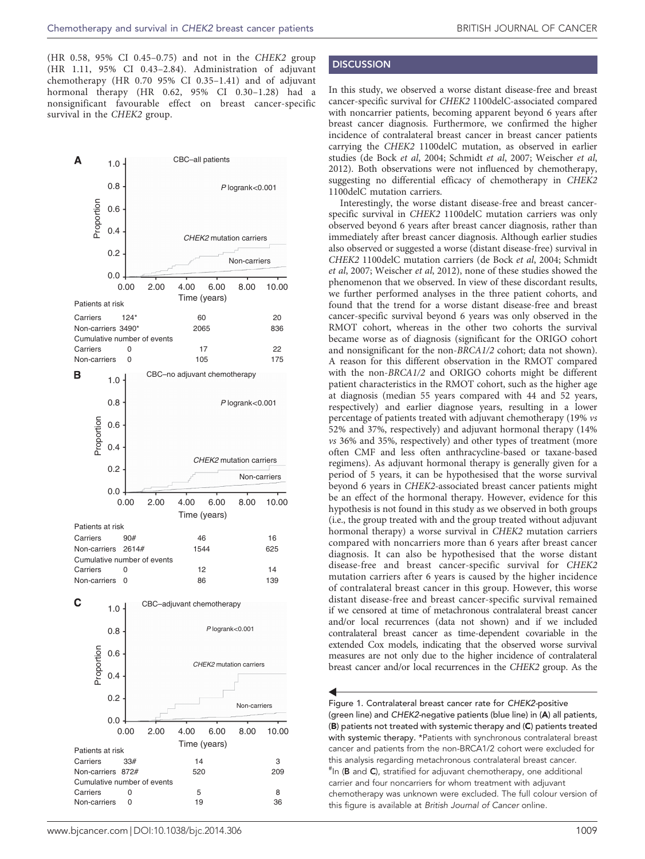<span id="page-5-0"></span>(HR 0.58, 95% CI 0.45–0.75) and not in the CHEK2 group (HR 1.11, 95% CI 0.43–2.84). Administration of adjuvant chemotherapy (HR 0.70 95% CI 0.35–1.41) and of adjuvant hormonal therapy (HR 0.62, 95% CI 0.30–1.28) had a nonsignificant favourable effect on breast cancer-specific survival in the CHEK2 group.



# **DISCUSSION**

In this study, we observed a worse distant disease-free and breast cancer-specific survival for CHEK2 1100delC-associated compared with noncarrier patients, becoming apparent beyond 6 years after breast cancer diagnosis. Furthermore, we confirmed the higher incidence of contralateral breast cancer in breast cancer patients carrying the CHEK2 1100delC mutation, as observed in earlier studies ([de Bock](#page-9-0) et al, 2004; [Schmidt](#page-9-0) et al, 2007; [Weischer](#page-9-0) et al, [2012](#page-9-0)). Both observations were not influenced by chemotherapy, suggesting no differential efficacy of chemotherapy in CHEK2 1100delC mutation carriers.

Interestingly, the worse distant disease-free and breast cancerspecific survival in CHEK2 1100delC mutation carriers was only observed beyond 6 years after breast cancer diagnosis, rather than immediately after breast cancer diagnosis. Although earlier studies also observed or suggested a worse (distant disease-free) survival in CHEK2 1100delC mutation carriers ([de Bock](#page-9-0) et al, 2004; [Schmidt](#page-9-0) et al[, 2007; Weischer](#page-9-0) et al, 2012), none of these studies showed the phenomenon that we observed. In view of these discordant results, we further performed analyses in the three patient cohorts, and found that the trend for a worse distant disease-free and breast cancer-specific survival beyond 6 years was only observed in the RMOT cohort, whereas in the other two cohorts the survival became worse as of diagnosis (significant for the ORIGO cohort and nonsignificant for the non-BRCA1/2 cohort; data not shown). A reason for this different observation in the RMOT compared with the non-BRCA1/2 and ORIGO cohorts might be different patient characteristics in the RMOT cohort, such as the higher age at diagnosis (median 55 years compared with 44 and 52 years, respectively) and earlier diagnose years, resulting in a lower percentage of patients treated with adjuvant chemotherapy (19% vs 52% and 37%, respectively) and adjuvant hormonal therapy (14% vs 36% and 35%, respectively) and other types of treatment (more often CMF and less often anthracycline-based or taxane-based regimens). As adjuvant hormonal therapy is generally given for a period of 5 years, it can be hypothesised that the worse survival beyond 6 years in CHEK2-associated breast cancer patients might be an effect of the hormonal therapy. However, evidence for this hypothesis is not found in this study as we observed in both groups (i.e., the group treated with and the group treated without adjuvant hormonal therapy) a worse survival in CHEK2 mutation carriers compared with noncarriers more than 6 years after breast cancer diagnosis. It can also be hypothesised that the worse distant disease-free and breast cancer-specific survival for CHEK2 mutation carriers after 6 years is caused by the higher incidence of contralateral breast cancer in this group. However, this worse distant disease-free and breast cancer-specific survival remained if we censored at time of metachronous contralateral breast cancer and/or local recurrences (data not shown) and if we included contralateral breast cancer as time-dependent covariable in the extended Cox models, indicating that the observed worse survival measures are not only due to the higher incidence of contralateral breast cancer and/or local recurrences in the CHEK2 group. As the

Figure 1. Contralateral breast cancer rate for CHEK2-positive (green line) and CHEK2-negative patients (blue line) in (A) all patients, (B) patients not treated with systemic therapy and (C) patients treated with systemic therapy. \*Patients with synchronous contralateral breast cancer and patients from the non-BRCA1/2 cohort were excluded for this analysis regarding metachronous contralateral breast cancer. <sup>#</sup>In (B and C), stratified for adjuvant chemotherapy, one additional carrier and four noncarriers for whom treatment with adjuvant chemotherapy was unknown were excluded. The full colour version of this figure is available at British Journal of Cancer online.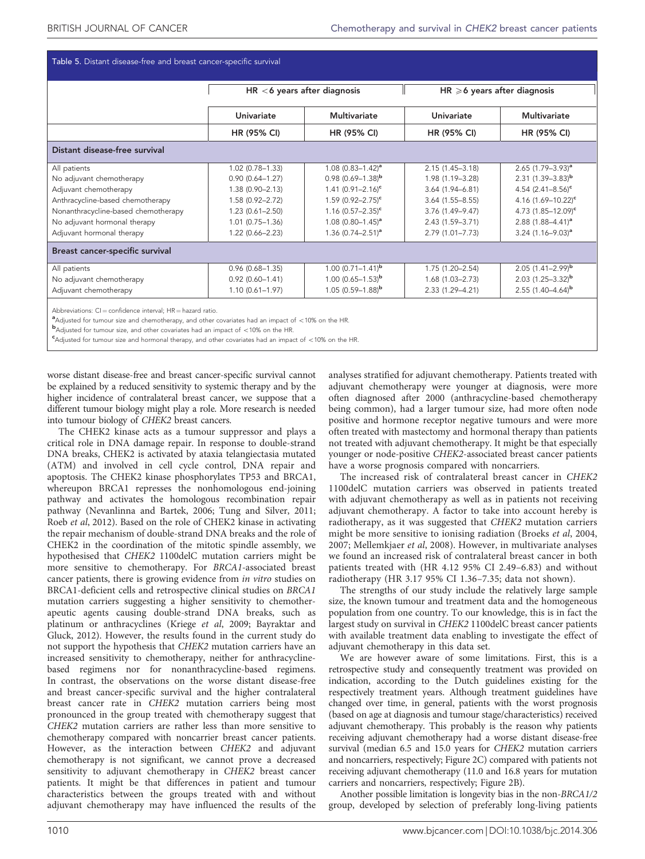<span id="page-6-0"></span>

|  |  |  | Table 5. Distant disease-free and breast cancer-specific survival |  |
|--|--|--|-------------------------------------------------------------------|--|
|--|--|--|-------------------------------------------------------------------|--|

|                                     | $HR < 6$ years after diagnosis |                                 | $HR \ge 6$ years after diagnosis |                                 |  |
|-------------------------------------|--------------------------------|---------------------------------|----------------------------------|---------------------------------|--|
|                                     | <b>Univariate</b>              | <b>Multivariate</b>             | Univariate                       | <b>Multivariate</b>             |  |
|                                     | HR (95% CI)                    | HR (95% CI)                     | HR (95% CI)                      | HR (95% CI)                     |  |
| Distant disease-free survival       |                                |                                 |                                  |                                 |  |
| All patients                        | $1.02(0.78 - 1.33)$            | $1.08$ (0.83-1.42) <sup>a</sup> | $2.15(1.45 - 3.18)$              | $2.65$ (1.79-3.93) <sup>a</sup> |  |
| No adjuvant chemotherapy            | $0.90(0.64 - 1.27)$            | $0.98(0.69 - 1.38)^b$           | 1.98 (1.19-3.28)                 | $2.31(1.39 - 3.83)^b$           |  |
| Adjuvant chemotherapy               | $1.38(0.90 - 2.13)$            | $1.41 (0.91 - 2.16)^c$          | $3.64(1.94 - 6.81)$              | 4.54 $(2.41 - 8.56)^c$          |  |
| Anthracycline-based chemotherapy    | 1.58 (0.92-2.72)               | $1.59$ (0.92-2.75) <sup>c</sup> | $3.64(1.55 - 8.55)$              | 4.16 $(1.69 - 10.22)^c$         |  |
| Nonanthracycline-based chemotherapy | $1.23(0.61 - 2.50)$            | $1.16$ (0.57-2.35) <sup>c</sup> | 3.76 (1.49-9.47)                 | 4.73 $(1.85 - 12.09)^c$         |  |
| No adjuvant hormonal therapy        | $1.01(0.75 - 1.36)$            | $1.08$ (0.80-1.45) <sup>a</sup> | $2.43(1.59 - 3.71)$              | 2.88 $(1.88 - 4.41)^a$          |  |
| Adjuvant hormonal therapy           | $1.22(0.66 - 2.23)$            | 1.36 $(0.74 - 2.51)^a$          | 2.79 (1.01-7.73)                 | $3.24$ (1.16-9.03) <sup>a</sup> |  |
| Breast cancer-specific survival     |                                |                                 |                                  |                                 |  |
| All patients                        | $0.96(0.68 - 1.35)$            | $1.00(0.71 - 1.41)^{b}$         | $1.75(1.20 - 2.54)$              | $2.05(1.41 - 2.99)^b$           |  |
| No adjuvant chemotherapy            | $0.92(0.60 - 1.41)$            | 1.00 $(0.65 - 1.53)^{b}$        | $1.68(1.03 - 2.73)$              | 2.03 $(1.25 - 3.32)^b$          |  |
| Adjuvant chemotherapy               | $1.10(0.61 - 1.97)$            | $1.05(0.59 - 1.88)^{b}$         | 2.33 (1.29-4.21)                 | 2.55 $(1.40-4.64)^{b}$          |  |

 $^{\bullet}$ Adjusted for tumour size and chemotherapy, and other covariates had an impact of  $<$ 10% on the HR.<br>badjusted for tumour size, and other covariates had an impact of  $<$ 10% on the HP.

 $b$ Adjusted for tumour size, and other covariates had an impact of  $<$  10% on the HR.

 $c$ Adjusted for tumour size and hormonal therapy, and other covariates had an impact of  $<$  10% on the HR.

worse distant disease-free and breast cancer-specific survival cannot be explained by a reduced sensitivity to systemic therapy and by the higher incidence of contralateral breast cancer, we suppose that a different tumour biology might play a role. More research is needed into tumour biology of CHEK2 breast cancers.

The CHEK2 kinase acts as a tumour suppressor and plays a critical role in DNA damage repair. In response to double-strand DNA breaks, CHEK2 is activated by ataxia telangiectasia mutated (ATM) and involved in cell cycle control, DNA repair and apoptosis. The CHEK2 kinase phosphorylates TP53 and BRCA1, whereupon BRCA1 represses the nonhomologous end-joining pathway and activates the homologous recombination repair pathway [\(Nevanlinna and Bartek, 2006](#page-9-0); [Tung and Silver, 2011;](#page-9-0) Roeb et al[, 2012](#page-9-0)). Based on the role of CHEK2 kinase in activating the repair mechanism of double-strand DNA breaks and the role of CHEK2 in the coordination of the mitotic spindle assembly, we hypothesised that CHEK2 1100delC mutation carriers might be more sensitive to chemotherapy. For BRCA1-associated breast cancer patients, there is growing evidence from in vitro studies on BRCA1-deficient cells and retrospective clinical studies on BRCA1 mutation carriers suggesting a higher sensitivity to chemotherapeutic agents causing double-strand DNA breaks, such as platinum or anthracyclines (Kriege et al[, 2009;](#page-9-0) [Bayraktar and](#page-8-0) [Gluck, 2012\)](#page-8-0). However, the results found in the current study do not support the hypothesis that CHEK2 mutation carriers have an increased sensitivity to chemotherapy, neither for anthracyclinebased regimens nor for nonanthracycline-based regimens. In contrast, the observations on the worse distant disease-free and breast cancer-specific survival and the higher contralateral breast cancer rate in CHEK2 mutation carriers being most pronounced in the group treated with chemotherapy suggest that CHEK2 mutation carriers are rather less than more sensitive to chemotherapy compared with noncarrier breast cancer patients. However, as the interaction between CHEK2 and adjuvant chemotherapy is not significant, we cannot prove a decreased sensitivity to adjuvant chemotherapy in CHEK2 breast cancer patients. It might be that differences in patient and tumour characteristics between the groups treated with and without adjuvant chemotherapy may have influenced the results of the

analyses stratified for adjuvant chemotherapy. Patients treated with adjuvant chemotherapy were younger at diagnosis, were more often diagnosed after 2000 (anthracycline-based chemotherapy being common), had a larger tumour size, had more often node positive and hormone receptor negative tumours and were more often treated with mastectomy and hormonal therapy than patients not treated with adjuvant chemotherapy. It might be that especially younger or node-positive CHEK2-associated breast cancer patients have a worse prognosis compared with noncarriers.

The increased risk of contralateral breast cancer in CHEK2 1100delC mutation carriers was observed in patients treated with adjuvant chemotherapy as well as in patients not receiving adjuvant chemotherapy. A factor to take into account hereby is radiotherapy, as it was suggested that CHEK2 mutation carriers might be more sensitive to ionising radiation ([Broeks](#page-8-0) et al, 2004, [2007;](#page-8-0) [Mellemkjaer](#page-9-0) et al, 2008). However, in multivariate analyses we found an increased risk of contralateral breast cancer in both patients treated with (HR 4.12 95% CI 2.49–6.83) and without radiotherapy (HR 3.17 95% CI 1.36–7.35; data not shown).

The strengths of our study include the relatively large sample size, the known tumour and treatment data and the homogeneous population from one country. To our knowledge, this is in fact the largest study on survival in CHEK2 1100delC breast cancer patients with available treatment data enabling to investigate the effect of adjuvant chemotherapy in this data set.

We are however aware of some limitations. First, this is a retrospective study and consequently treatment was provided on indication, according to the Dutch guidelines existing for the respectively treatment years. Although treatment guidelines have changed over time, in general, patients with the worst prognosis (based on age at diagnosis and tumour stage/characteristics) received adjuvant chemotherapy. This probably is the reason why patients receiving adjuvant chemotherapy had a worse distant disease-free survival (median 6.5 and 15.0 years for CHEK2 mutation carriers and noncarriers, respectively; [Figure 2C\)](#page-7-0) compared with patients not receiving adjuvant chemotherapy (11.0 and 16.8 years for mutation carriers and noncarriers, respectively; [Figure 2B](#page-7-0)).

Another possible limitation is longevity bias in the non-BRCA1/2 group, developed by selection of preferably long-living patients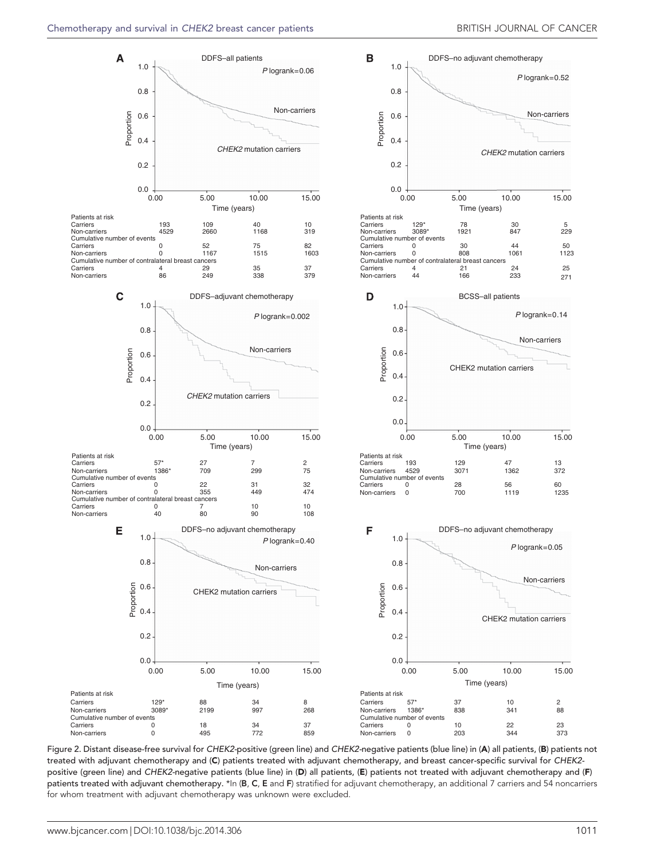<span id="page-7-0"></span>

Figure 2. Distant disease-free survival for CHEK2-positive (green line) and CHEK2-negative patients (blue line) in (A) all patients, (B) patients not treated with adjuvant chemotherapy and (C) patients treated with adjuvant chemotherapy, and breast cancer-specific survival for CHEK2 positive (green line) and CHEK2-negative patients (blue line) in (D) all patients, (E) patients not treated with adjuvant chemotherapy and (F) patients treated with adjuvant chemotherapy. \*In (B, C, E and F) stratified for adjuvant chemotherapy, an additional 7 carriers and 54 noncarriers for whom treatment with adjuvant chemotherapy was unknown were excluded.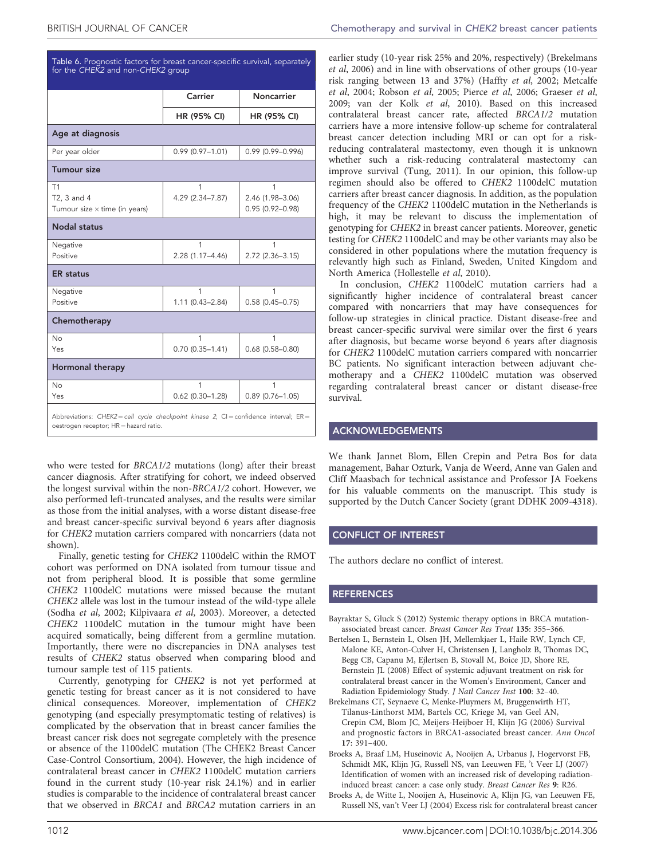<span id="page-8-0"></span>

| Table 6. Prognostic factors for breast cancer-specific survival, separately |  |
|-----------------------------------------------------------------------------|--|
| for the CHEK2 and non-CHEK2 group                                           |  |

|                                                                                                                                 | Carrier                  | <b>Noncarrier</b>                            |  |  |
|---------------------------------------------------------------------------------------------------------------------------------|--------------------------|----------------------------------------------|--|--|
|                                                                                                                                 | HR (95% CI)              | <b>HR (95% CI)</b>                           |  |  |
| Age at diagnosis                                                                                                                |                          |                                              |  |  |
| Per year older                                                                                                                  | $0.99(0.97 - 1.01)$      | $0.99(0.99 - 0.996)$                         |  |  |
| Tumour size                                                                                                                     |                          |                                              |  |  |
| T1<br>T2, 3 and 4<br>Tumour size $\times$ time (in years)                                                                       | 1<br>4.29 (2.34-7.87)    | 1<br>2.46 (1.98-3.06)<br>$0.95(0.92 - 0.98)$ |  |  |
| <b>Nodal status</b>                                                                                                             |                          |                                              |  |  |
| Negative<br>Positive                                                                                                            | 1<br>2.28 (1.17-4.46)    | 1<br>2.72 (2.36-3.15)                        |  |  |
| <b>ER</b> status                                                                                                                |                          |                                              |  |  |
| Negative<br>Positive                                                                                                            | 1<br>$1.11(0.43 - 2.84)$ | 1<br>$0.58(0.45 - 0.75)$                     |  |  |
| Chemotherapy                                                                                                                    |                          |                                              |  |  |
| No<br>Yes                                                                                                                       | 1<br>$0.70(0.35 - 1.41)$ | 1<br>$0.68(0.58 - 0.80)$                     |  |  |
| Hormonal therapy                                                                                                                |                          |                                              |  |  |
| No<br>Yes                                                                                                                       | 1<br>$0.62$ (0.30-1.28)  | 1<br>$0.89(0.76 - 1.05)$                     |  |  |
| Abbreviations: CHEK2 = cell cycle checkpoint kinase 2; CI = confidence interval; ER =<br>oestrogen receptor; HR = hazard ratio. |                          |                                              |  |  |

who were tested for BRCA1/2 mutations (long) after their breast cancer diagnosis. After stratifying for cohort, we indeed observed the longest survival within the non-BRCA1/2 cohort. However, we also performed left-truncated analyses, and the results were similar as those from the initial analyses, with a worse distant disease-free and breast cancer-specific survival beyond 6 years after diagnosis for CHEK2 mutation carriers compared with noncarriers (data not shown).

Finally, genetic testing for CHEK2 1100delC within the RMOT cohort was performed on DNA isolated from tumour tissue and not from peripheral blood. It is possible that some germline CHEK2 1100delC mutations were missed because the mutant CHEK2 allele was lost in the tumour instead of the wild-type allele (Sodha et al[, 2002; Kilpivaara](#page-9-0) et al, 2003). Moreover, a detected CHEK2 1100delC mutation in the tumour might have been acquired somatically, being different from a germline mutation. Importantly, there were no discrepancies in DNA analyses test results of CHEK2 status observed when comparing blood and tumour sample test of 115 patients.

Currently, genotyping for CHEK2 is not yet performed at genetic testing for breast cancer as it is not considered to have clinical consequences. Moreover, implementation of CHEK2 genotyping (and especially presymptomatic testing of relatives) is complicated by the observation that in breast cancer families the breast cancer risk does not segregate completely with the presence or absence of the 1100delC mutation ([The CHEK2 Breast Cancer](#page-9-0) [Case-Control Consortium, 2004](#page-9-0)). However, the high incidence of contralateral breast cancer in CHEK2 1100delC mutation carriers found in the current study (10-year risk 24.1%) and in earlier studies is comparable to the incidence of contralateral breast cancer that we observed in BRCA1 and BRCA2 mutation carriers in an

earlier study (10-year risk 25% and 20%, respectively) (Brekelmans et al, 2006) and in line with observations of other groups (10-year risk ranging between 13 and 37%) (Haffty et al[, 2002; Metcalfe](#page-9-0) et al[, 2004](#page-9-0); [Robson](#page-9-0) et al, 2005; Pierce et al[, 2006; Graeser](#page-9-0) et al, [2009](#page-9-0); [van der Kolk](#page-9-0) et al, 2010). Based on this increased contralateral breast cancer rate, affected BRCA1/2 mutation carriers have a more intensive follow-up scheme for contralateral breast cancer detection including MRI or can opt for a riskreducing contralateral mastectomy, even though it is unknown whether such a risk-reducing contralateral mastectomy can improve survival [\(Tung, 2011\)](#page-9-0). In our opinion, this follow-up regimen should also be offered to CHEK2 1100delC mutation carriers after breast cancer diagnosis. In addition, as the population frequency of the CHEK2 1100delC mutation in the Netherlands is high, it may be relevant to discuss the implementation of genotyping for CHEK2 in breast cancer patients. Moreover, genetic testing for CHEK2 1100delC and may be other variants may also be considered in other populations where the mutation frequency is relevantly high such as Finland, Sweden, United Kingdom and North America [\(Hollestelle](#page-9-0) et al, 2010).

In conclusion, CHEK2 1100delC mutation carriers had a significantly higher incidence of contralateral breast cancer compared with noncarriers that may have consequences for follow-up strategies in clinical practice. Distant disease-free and breast cancer-specific survival were similar over the first 6 years after diagnosis, but became worse beyond 6 years after diagnosis for CHEK2 1100delC mutation carriers compared with noncarrier BC patients. No significant interaction between adjuvant chemotherapy and a CHEK2 1100delC mutation was observed regarding contralateral breast cancer or distant disease-free survival.

#### ACKNOWLEDGEMENTS

We thank Jannet Blom, Ellen Crepin and Petra Bos for data management, Bahar Ozturk, Vanja de Weerd, Anne van Galen and Cliff Maasbach for technical assistance and Professor JA Foekens for his valuable comments on the manuscript. This study is supported by the Dutch Cancer Society (grant DDHK 2009-4318).

#### CONFLICT OF INTEREST

The authors declare no conflict of interest.

#### REFERENCES

- Bayraktar S, Gluck S (2012) Systemic therapy options in BRCA mutationassociated breast cancer. Breast Cancer Res Treat 135: 355–366.
- Bertelsen L, Bernstein L, Olsen JH, Mellemkjaer L, Haile RW, Lynch CF, Malone KE, Anton-Culver H, Christensen J, Langholz B, Thomas DC, Begg CB, Capanu M, Ejlertsen B, Stovall M, Boice JD, Shore RE, Bernstein JL (2008) Effect of systemic adjuvant treatment on risk for contralateral breast cancer in the Women's Environment, Cancer and Radiation Epidemiology Study. J Natl Cancer Inst 100: 32–40.
- Brekelmans CT, Seynaeve C, Menke-Pluymers M, Bruggenwirth HT, Tilanus-Linthorst MM, Bartels CC, Kriege M, van Geel AN, Crepin CM, Blom JC, Meijers-Heijboer H, Klijn JG (2006) Survival and prognostic factors in BRCA1-associated breast cancer. Ann Oncol 17: 391–400.
- Broeks A, Braaf LM, Huseinovic A, Nooijen A, Urbanus J, Hogervorst FB, Schmidt MK, Klijn JG, Russell NS, van Leeuwen FE, 't Veer LJ (2007) Identification of women with an increased risk of developing radiationinduced breast cancer: a case only study. Breast Cancer Res 9: R26.
- Broeks A, de Witte L, Nooijen A, Huseinovic A, Klijn JG, van Leeuwen FE, Russell NS, van't Veer LJ (2004) Excess risk for contralateral breast cancer